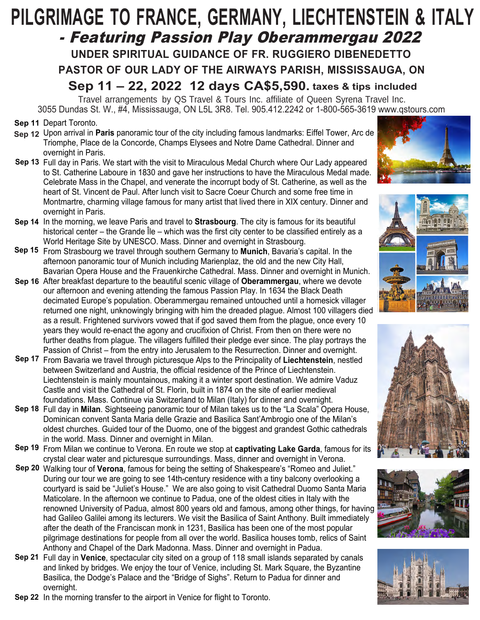# **PILGRIMAGE TO FRANCE, GERMANY, LIECHTENSTEIN & ITALY** - Featuring Passion Play Oberammergau 2022 **UNDER SPIRITUAL GUIDANCE OF FR. RUGGIERO DIBENEDETTO PASTOR OF OUR LADY OF THE AIRWAYS PARISH, MISSISSAUGA, ON Sep 11 – 22, 2022 12 days CA\$5,590. taxes & tips included**

Travel arrangements by QS Travel & Tours Inc. affiliate of Queen Syrena Travel Inc. 3055 Dundas St. W., #4, Mississauga, ON L5L 3R8. Tel. 905.412.2242 or 1-800-565-3619 www.qstours.com

- **Sep 11 Depart Toronto.**
- **Sep 12** Upon arrival in **Paris** panoramic tour of the city including famous landmarks: Eiffel Tower, Arc de Triomphe, Place de la Concorde, Champs Elysees and Notre Dame Cathedral. Dinner and overnight in Paris.
- **Sep 13** Full day in Paris. We start with the visit to Miraculous Medal Church where Our Lady appeared to St. Catherine Laboure in 1830 and gave her instructions to have the Miraculous Medal made. Celebrate Mass in the Chapel, and venerate the incorrupt body of St. Catherine, as well as the heart of St. Vincent de Paul. After lunch visit to Sacre Coeur Church and some free time in Montmartre, charming village famous for many artist that lived there in XIX century. Dinner and overnight in Paris.
- **Sep 14** In the morning, we leave Paris and travel to **Strasbourg**. The city is famous for its beautiful historical center – the Grande Île – which was the first city center to be classified entirely as a World Heritage Site by UNESCO. Mass. Dinner and overnight in Strasbourg.
- From Strasbourg we travel through southern Germany to **Munich**, Bavaria's capital. In the **Sep 15** afternoon panoramic tour of Munich including Marienplaz, the old and the new City Hall, Bavarian Opera House and the Frauenkirche Cathedral. Mass. Dinner and overnight in Munich.
- **Sep 16** After breakfast departure to the beautiful scenic village of **Oberammergau**, where we devote our afternoon and evening attending the famous Passion Play. In 1634 the Black Death decimated Europe's population. Oberammergau remained untouched until a homesick villager returned one night, unknowingly bringing with him the dreaded plague. Almost 100 villagers died as a result. Frightened survivors vowed that if god saved them from the plague, once every 10 years they would re-enact the agony and crucifixion of Christ. From then on there were no further deaths from plague. The villagers fulfilled their pledge ever since. The play portrays the Passion of Christ – from the entry into Jerusalem to the Resurrection. Dinner and overnight.
- Sep 17 From Bavaria we travel through picturesque Alps to the Principality of Liechtenstein, nestled between Switzerland and Austria, the official residence of the Prince of Liechtenstein. Liechtenstein is mainly mountainous, making it a winter sport destination. We admire Vaduz Castle and visit the Cathedral of St. Florin, built in 1874 on the site of earlier medieval foundations. Mass. Continue via Switzerland to Milan (Italy) for dinner and overnight.
- Full day in **Milan**. Sightseeing panoramic tour of Milan takes us to the "La Scala" Opera House, **Sep 18** Dominican convent Santa Maria delle Grazie and Basilica Sant'Ambrogio one of the Milan's oldest churches. Guided tour of the Duomo, one of the biggest and grandest Gothic cathedrals in the world. Mass. Dinner and overnight in Milan.
- Sep 19 From Milan we continue to Verona. En route we stop at captivating Lake Garda, famous for its crystal clear water and picturesque surroundings. Mass, dinner and overnight in Verona.
- Walking tour of **Verona**, famous for being the setting of Shakespeare's "Romeo and Juliet." **Sep 20** During our tour we are going to see 14th-century residence with a tiny balcony overlooking a courtyard is said be "Juliet's House." We are also going to visit Cathedral Duomo Santa Maria Maticolare. In the afternoon we continue to Padua, one of the oldest cities in Italy with the renowned University of Padua, almost 800 years old and famous, among other things, for having had Galileo Galilei among its lecturers. We visit the Basilica of Saint Anthony. Built immediately after the death of the Franciscan monk in 1231, Basilica has been one of the most popular pilgrimage destinations for people from all over the world. Basilica houses tomb, relics of Saint Anthony and Chapel of the Dark Madonna. Mass. Dinner and overnight in Padua.
- Sep 21 Full day in Venice, spectacular city sited on a group of 118 small islands separated by canals and linked by bridges. We enjoy the tour of Venice, including St. Mark Square, the Byzantine Basilica, the Dodge's Palace and the "Bridge of Sighs". Return to Padua for dinner and overnight.
- **Sep 22** In the morning transfer to the airport in Venice for flight to Toronto.